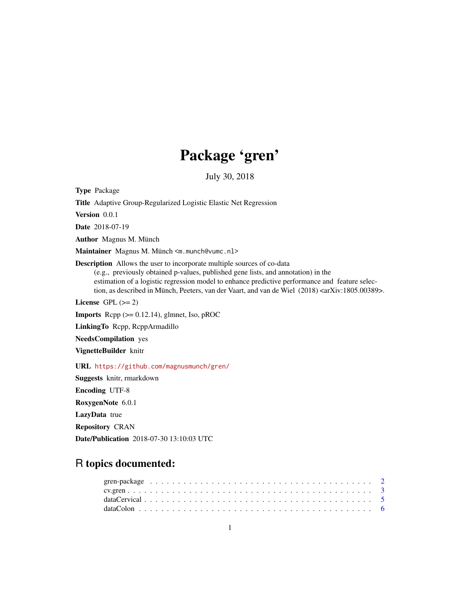# Package 'gren'

July 30, 2018

<span id="page-0-0"></span>Type Package

Title Adaptive Group-Regularized Logistic Elastic Net Regression

Version 0.0.1

Date 2018-07-19

Author Magnus M. Münch

Maintainer Magnus M. Münch <m.munch@vumc.nl>

Description Allows the user to incorporate multiple sources of co-data (e.g., previously obtained p-values, published gene lists, and annotation) in the estimation of a logistic regression model to enhance predictive performance and feature selection, as described in Münch, Peeters, van der Vaart, and van de Wiel (2018) <arXiv:1805.00389>.

License GPL  $(>= 2)$ 

**Imports**  $\text{Rcpp}$  ( $>= 0.12.14$ ), glmnet, Iso, pROC

LinkingTo Rcpp, RcppArmadillo

NeedsCompilation yes

VignetteBuilder knitr

URL <https://github.com/magnusmunch/gren/>

Suggests knitr, rmarkdown Encoding UTF-8 RoxygenNote 6.0.1 LazyData true Repository CRAN Date/Publication 2018-07-30 13:10:03 UTC

# R topics documented: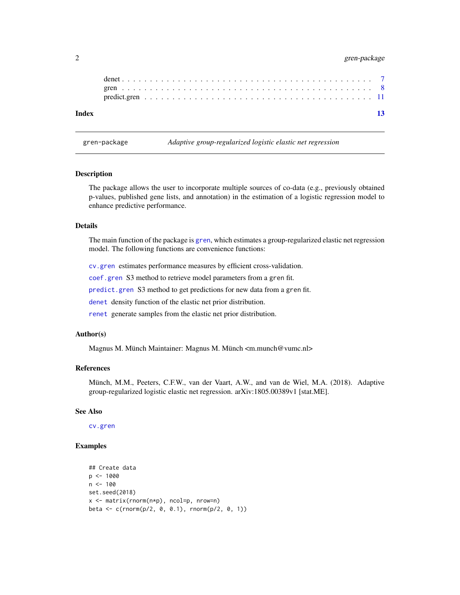# <span id="page-1-0"></span>2 gren-package

gren-package *Adaptive group-regularized logistic elastic net regression*

#### Description

The package allows the user to incorporate multiple sources of co-data (e.g., previously obtained p-values, published gene lists, and annotation) in the estimation of a logistic regression model to enhance predictive performance.

#### Details

The main function of the package is [gren](#page-7-1), which estimates a group-regularized elastic net regression model. The following functions are convenience functions:

[cv.gren](#page-2-1) estimates performance measures by efficient cross-validation.

[coef.gren](#page-10-1) S3 method to retrieve model parameters from a gren fit.

[predict.gren](#page-10-2) S3 method to get predictions for new data from a gren fit.

[denet](#page-6-1) density function of the elastic net prior distribution.

[renet](#page-6-2) generate samples from the elastic net prior distribution.

# Author(s)

Magnus M. Münch Maintainer: Magnus M. Münch <m.munch@vumc.nl>

#### References

Münch, M.M., Peeters, C.F.W., van der Vaart, A.W., and van de Wiel, M.A. (2018). Adaptive group-regularized logistic elastic net regression. arXiv:1805.00389v1 [stat.ME].

#### See Also

[cv.gren](#page-2-1)

```
## Create data
p <- 1000
n < - 100set.seed(2018)
x <- matrix(rnorm(n*p), ncol=p, nrow=n)
beta <- c(rnorm(p/2, 0, 0.1), rnorm(p/2, 0, 1))
```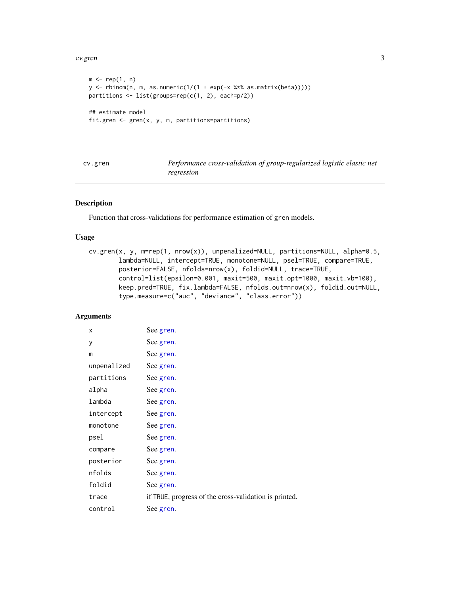#### <span id="page-2-0"></span>cv.gren 3

```
m \leftarrow rep(1, n)y \leftarrow \text{rbinom}(n, m, as.numeric}(1/(1 + \exp(-x % x * x * as.matrix(beta))))partitions <- list(groups=rep(c(1, 2), each=p/2))
## estimate model
fit.gren <- gren(x, y, m, partitions=partitions)
```
<span id="page-2-1"></span>

| cv.gren | Performance cross-validation of group-regularized logistic elastic net |
|---------|------------------------------------------------------------------------|
|         | regression                                                             |

# Description

Function that cross-validations for performance estimation of gren models.

# Usage

```
cv.gren(x, y, m=rep(1, nrow(x)), unpenalized=NULL, partitions=NULL, alpha=0.5,
        lambda=NULL, intercept=TRUE, monotone=NULL, psel=TRUE, compare=TRUE,
        posterior=FALSE, nfolds=nrow(x), foldid=NULL, trace=TRUE,
        control=list(epsilon=0.001, maxit=500, maxit.opt=1000, maxit.vb=100),
        keep.pred=TRUE, fix.lambda=FALSE, nfolds.out=nrow(x), foldid.out=NULL,
        type.measure=c("auc", "deviance", "class.error"))
```
# Arguments

| X           | See gren.                                             |
|-------------|-------------------------------------------------------|
| у           | See gren.                                             |
| m           | See gren.                                             |
| unpenalized | See gren.                                             |
| partitions  | See gren.                                             |
| alpha       | See gren.                                             |
| lambda      | See gren.                                             |
| intercept   | See gren.                                             |
| monotone    | See gren.                                             |
| psel        | See gren.                                             |
| compare     | See gren.                                             |
| posterior   | See gren.                                             |
| nfolds      | See gren.                                             |
| foldid      | See gren.                                             |
| trace       | if TRUE, progress of the cross-validation is printed. |
| control     | See gren.                                             |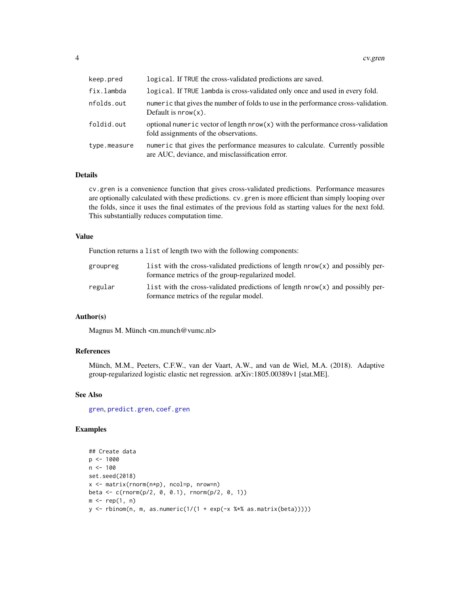<span id="page-3-0"></span>

| keep.pred    | logical. If TRUE the cross-validated predictions are saved.                                                                     |
|--------------|---------------------------------------------------------------------------------------------------------------------------------|
| fix.lambda   | logical. If TRUE lambda is cross-validated only once and used in every fold.                                                    |
| nfolds.out   | numeric that gives the number of folds to use in the performance cross-validation.<br>Default is $nrow(x)$ .                    |
| foldid.out   | optional numeric vector of length $nrow(x)$ with the performance cross-validation<br>fold assignments of the observations.      |
| type.measure | numeric that gives the performance measures to calculate. Currently possible<br>are AUC, deviance, and misclassification error. |

### Details

cv.gren is a convenience function that gives cross-validated predictions. Performance measures are optionally calculated with these predictions. cv.gren is more efficient than simply looping over the folds, since it uses the final estimates of the previous fold as starting values for the next fold. This substantially reduces computation time.

### Value

Function returns a list of length two with the following components:

| groupreg | list with the cross-validated predictions of length $nrow(x)$ and possibly per-<br>formance metrics of the group-regularized model. |
|----------|-------------------------------------------------------------------------------------------------------------------------------------|
| regular  | list with the cross-validated predictions of length $nrow(x)$ and possibly per-<br>formance metrics of the regular model.           |

# Author(s)

Magnus M. Münch <m.munch@vumc.nl>

# References

Münch, M.M., Peeters, C.F.W., van der Vaart, A.W., and van de Wiel, M.A. (2018). Adaptive group-regularized logistic elastic net regression. arXiv:1805.00389v1 [stat.ME].

#### See Also

[gren](#page-7-1), [predict.gren](#page-10-2), [coef.gren](#page-10-1)

```
## Create data
p <- 1000
n < - 100set.seed(2018)
x <- matrix(rnorm(n*p), ncol=p, nrow=n)
beta <- c(rnorm(p/2, 0, 0.1), rnorm(p/2, 0, 1))
m \leftarrow rep(1, n)y <- rbinom(n, m, as.numeric(1/(1 + exp(-x %*% as.matrix(beta)))))
```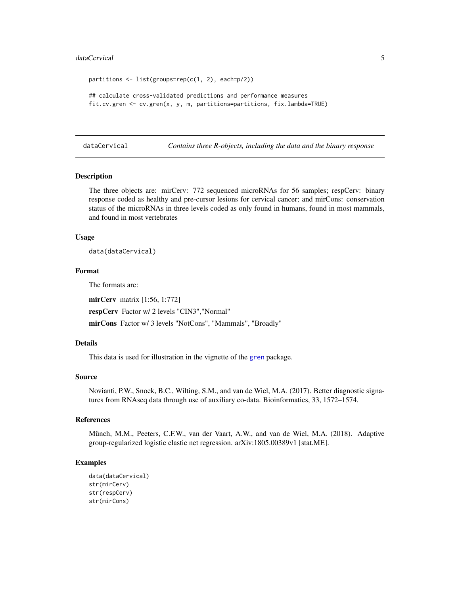#### <span id="page-4-0"></span>dataCervical 5

```
partitions \leq list(groups=rep(c(1, 2), each=p/2))
## calculate cross-validated predictions and performance measures
fit.cv.gren <- cv.gren(x, y, m, partitions=partitions, fix.lambda=TRUE)
```
dataCervical *Contains three R-objects, including the data and the binary response*

#### Description

The three objects are: mirCerv: 772 sequenced microRNAs for 56 samples; respCerv: binary response coded as healthy and pre-cursor lesions for cervical cancer; and mirCons: conservation status of the microRNAs in three levels coded as only found in humans, found in most mammals, and found in most vertebrates

#### Usage

data(dataCervical)

#### Format

The formats are:

mirCerv matrix [1:56, 1:772]

respCerv Factor w/ 2 levels "CIN3","Normal"

mirCons Factor w/ 3 levels "NotCons", "Mammals", "Broadly"

#### Details

This data is used for illustration in the vignette of the [gren](#page-7-1) package.

#### Source

Novianti, P.W., Snoek, B.C., Wilting, S.M., and van de Wiel, M.A. (2017). Better diagnostic signatures from RNAseq data through use of auxiliary co-data. Bioinformatics, 33, 1572–1574.

# References

Münch, M.M., Peeters, C.F.W., van der Vaart, A.W., and van de Wiel, M.A. (2018). Adaptive group-regularized logistic elastic net regression. arXiv:1805.00389v1 [stat.ME].

```
data(dataCervical)
str(mirCerv)
str(respCerv)
str(mirCons)
```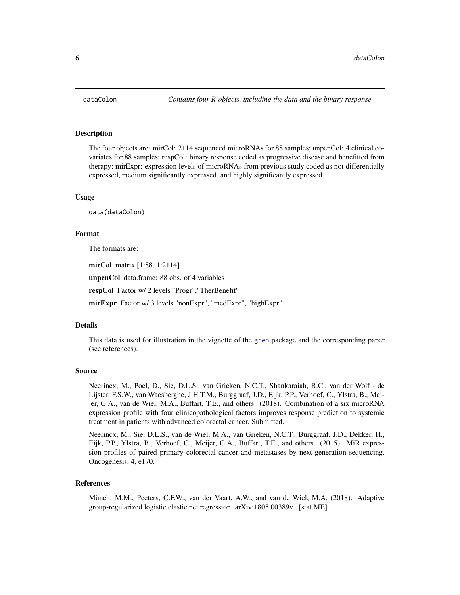<span id="page-5-0"></span>

#### **Description**

The four objects are: mirCol: 2114 sequenced microRNAs for 88 samples; unpenCol: 4 clinical covariates for 88 samples; respCol: binary response coded as progressive disease and benefitted from therapy; mirExpr: expression levels of microRNAs from previous study coded as not differentially expressed, medium significantly expressed, and highly significantly expressed.

#### Usage

data(dataColon)

#### Format

The formats are:

mirCol matrix [1:88, 1:2114]

unpenCol data.frame: 88 obs. of 4 variables

respCol Factor w/ 2 levels "Progr","TherBenefit"

mirExpr Factor w/ 3 levels "nonExpr", "medExpr", "highExpr"

#### Details

This data is used for illustration in the vignette of the [gren](#page-7-1) package and the corresponding paper (see references).

#### Source

Neerincx, M., Poel, D., Sie, D.L.S., van Grieken, N.C.T., Shankaraiah, R.C., van der Wolf - de Lijster, F.S.W., van Waesberghe, J.H.T.M., Burggraaf, J.D., Eijk, P.P., Verhoef, C., Ylstra, B., Meijer, G.A., van de Wiel, M.A., Buffart, T.E., and others. (2018). Combination of a six microRNA expression profile with four clinicopathological factors improves response prediction to systemic treatment in patients with advanced colorectal cancer. Submitted.

Neerincx, M., Sie, D.L.S., van de Wiel, M.A., van Grieken, N.C.T., Burggraaf, J.D., Dekker, H., Eijk, P.P., Ylstra, B., Verhoef, C., Meijer, G.A., Buffart, T.E., and others. (2015). MiR expression profiles of paired primary colorectal cancer and metastases by next-generation sequencing. Oncogenesis, 4, e170.

#### References

Münch, M.M., Peeters, C.F.W., van der Vaart, A.W., and van de Wiel, M.A. (2018). Adaptive group-regularized logistic elastic net regression. arXiv:1805.00389v1 [stat.ME].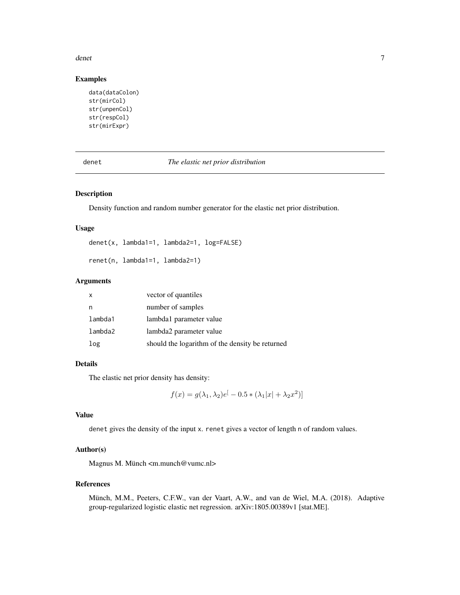#### <span id="page-6-0"></span>denet 2008 and 2008 and 2008 and 2008 and 2008 and 2008 and 2008 and 2008 and 2008 and 2008 and 2008 and 2008 and 2008 and 2008 and 2008 and 2008 and 2008 and 2008 and 2008 and 2008 and 2008 and 2008 and 2008 and 2008 and

# Examples

```
data(dataColon)
str(mirCol)
str(unpenCol)
str(respCol)
str(mirExpr)
```
#### <span id="page-6-1"></span>denet *The elastic net prior distribution*

# <span id="page-6-2"></span>Description

Density function and random number generator for the elastic net prior distribution.

#### Usage

denet(x, lambda1=1, lambda2=1, log=FALSE)

renet(n, lambda1=1, lambda2=1)

# Arguments

| vector of quantiles                             |
|-------------------------------------------------|
| number of samples                               |
| lambda1 parameter value                         |
| lambda2 parameter value                         |
| should the logarithm of the density be returned |
|                                                 |

# Details

The elastic net prior density has density:

$$
f(x) = g(\lambda_1, \lambda_2)e^{[} - 0.5 * (\lambda_1|x| + \lambda_2 x^2)]
$$

# Value

denet gives the density of the input x. renet gives a vector of length n of random values.

### Author(s)

Magnus M. Münch <m.munch@vumc.nl>

# References

Münch, M.M., Peeters, C.F.W., van der Vaart, A.W., and van de Wiel, M.A. (2018). Adaptive group-regularized logistic elastic net regression. arXiv:1805.00389v1 [stat.ME].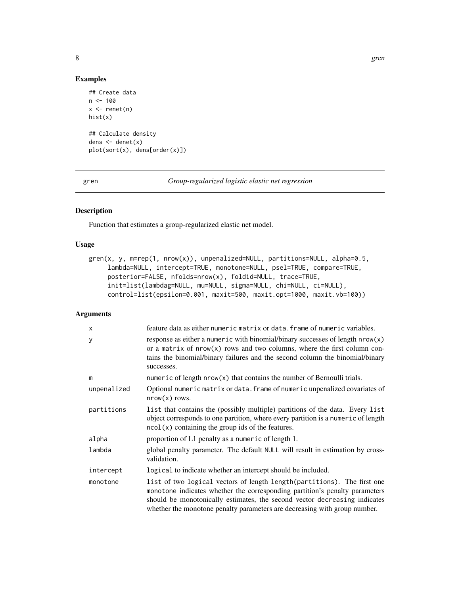```
## Create data
n < -100x \leftarrow \text{renet}(n)hist(x)
## Calculate density
dens <- denet(x)
plot(sort(x), dens[order(x)])
```
<span id="page-7-1"></span>

gren *Group-regularized logistic elastic net regression*

# Description

Function that estimates a group-regularized elastic net model.

# Usage

```
gren(x, y, m=rep(1, nrow(x)), unpenalized=NULL, partitions=NULL, alpha=0.5,
     lambda=NULL, intercept=TRUE, monotone=NULL, psel=TRUE, compare=TRUE,
     posterior=FALSE, nfolds=nrow(x), foldid=NULL, trace=TRUE,
     init=list(lambdag=NULL, mu=NULL, sigma=NULL, chi=NULL, ci=NULL),
     control=list(epsilon=0.001, maxit=500, maxit.opt=1000, maxit.vb=100))
```
# Arguments

| X           | feature data as either numeric matrix or data. frame of numeric variables.                                                                                                                                                                                                                                        |
|-------------|-------------------------------------------------------------------------------------------------------------------------------------------------------------------------------------------------------------------------------------------------------------------------------------------------------------------|
| У           | response as either a numeric with binomial/binary successes of length $nrow(x)$<br>or a matrix of $nrow(x)$ rows and two columns, where the first column con-<br>tains the binomial/binary failures and the second column the binomial/binary<br>successes.                                                       |
| m           | numeric of length $nrow(x)$ that contains the number of Bernoulli trials.                                                                                                                                                                                                                                         |
| unpenalized | Optional numeric matrix or data. frame of numeric unpenalized covariates of<br>$nrow(x)$ rows.                                                                                                                                                                                                                    |
| partitions  | list that contains the (possibly multiple) partitions of the data. Every list<br>object corresponds to one partition, where every partition is a numeric of length<br>$ncol(x)$ containing the group ids of the features.                                                                                         |
| alpha       | proportion of L1 penalty as a numeric of length 1.                                                                                                                                                                                                                                                                |
| lambda      | global penalty parameter. The default NULL will result in estimation by cross-<br>validation.                                                                                                                                                                                                                     |
| intercept   | logical to indicate whether an intercept should be included.                                                                                                                                                                                                                                                      |
| monotone    | list of two logical vectors of length length (partitions). The first one<br>monotone indicates whether the corresponding partition's penalty parameters<br>should be monotonically estimates, the second vector decreasing indicates<br>whether the monotone penalty parameters are decreasing with group number. |

<span id="page-7-0"></span>8 gren with the state of the state of the state of the state of the state of the state of the state of the state of the state of the state of the state of the state of the state of the state of the state of the state of th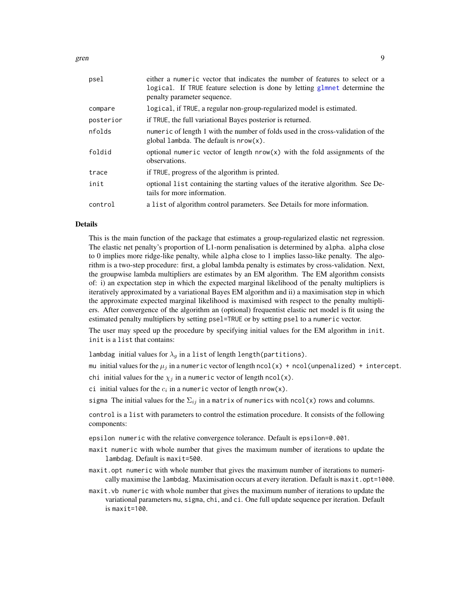<span id="page-8-0"></span>gren 1986 ble stort andere state ble stort andere state ble stort andere state ble stort andere state ble stor

| psel      | either a numeric vector that indicates the number of features to select or a<br>logical. If TRUE feature selection is done by letting glmnet determine the<br>penalty parameter sequence. |
|-----------|-------------------------------------------------------------------------------------------------------------------------------------------------------------------------------------------|
| compare   | logical, if TRUE, a regular non-group-regularized model is estimated.                                                                                                                     |
| posterior | if TRUE, the full variational Bayes posterior is returned.                                                                                                                                |
| nfolds    | numeric of length 1 with the number of folds used in the cross-validation of the<br>global lambda. The default is $nrow(x)$ .                                                             |
| foldid    | optional numeric vector of length $nrow(x)$ with the fold assignments of the<br>observations.                                                                                             |
| trace     | if TRUE, progress of the algorithm is printed.                                                                                                                                            |
| init      | optional list containing the starting values of the iterative algorithm. See De-<br>tails for more information.                                                                           |
| control   | a list of algorithm control parameters. See Details for more information.                                                                                                                 |
|           |                                                                                                                                                                                           |

#### Details

This is the main function of the package that estimates a group-regularized elastic net regression. The elastic net penalty's proportion of L1-norm penalisation is determined by alpha. alpha close to 0 implies more ridge-like penalty, while alpha close to 1 implies lasso-like penalty. The algorithm is a two-step procedure: first, a global lambda penalty is estimates by cross-validation. Next, the groupwise lambda multipliers are estimates by an EM algorithm. The EM algorithm consists of: i) an expectation step in which the expected marginal likelihood of the penalty multipliers is iteratively approximated by a variational Bayes EM algorithm and ii) a maximisation step in which the approximate expected marginal likelihood is maximised with respect to the penalty multipliers. After convergence of the algorithm an (optional) frequentist elastic net model is fit using the estimated penalty multipliers by setting psel=TRUE or by setting psel to a numeric vector.

The user may speed up the procedure by specifying initial values for the EM algorithm in init. init is a list that contains:

lambdag initial values for  $\lambda_g$  in a list of length length(partitions).

mu initial values for the  $\mu_j$  in a numeric vector of length ncol(x) + ncol(unpenalized) + intercept.

chi initial values for the  $\chi_j$  in a numeric vector of length ncol(x).

ci initial values for the  $c_i$  in a numeric vector of length nrow(x).

sigma The initial values for the  $\Sigma_{ij}$  in a matrix of numerics with ncol(x) rows and columns.

control is a list with parameters to control the estimation procedure. It consists of the following components:

epsilon numeric with the relative convergence tolerance. Default is epsilon=0.001.

- maxit numeric with whole number that gives the maximum number of iterations to update the lambdag. Default is maxit=500.
- maxit.opt numeric with whole number that gives the maximum number of iterations to numerically maximise the lambdag. Maximisation occurs at every iteration. Default is maxit.opt=1000.
- maxit.vb numeric with whole number that gives the maximum number of iterations to update the variational parameters mu, sigma, chi, and ci. One full update sequence per iteration. Default is maxit=100.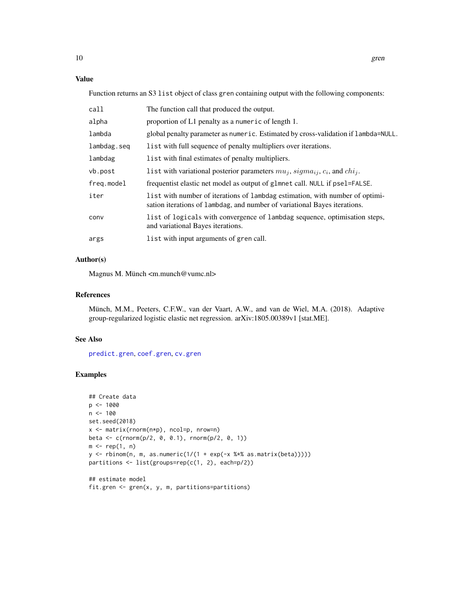### <span id="page-9-0"></span>Value

Function returns an S3 list object of class gren containing output with the following components:

| call        | The function call that produced the output.                                                                                                               |
|-------------|-----------------------------------------------------------------------------------------------------------------------------------------------------------|
| alpha       | proportion of L1 penalty as a numeric of length 1.                                                                                                        |
| lambda      | global penalty parameter as numeric. Estimated by cross-validation if lambda=NULL.                                                                        |
| lambdag.seq | list with full sequence of penalty multipliers over iterations.                                                                                           |
| lambdag     | list with final estimates of penalty multipliers.                                                                                                         |
| vb.post     | l ist with variational posterior parameters $mu_i$ , $sigma_{ij}$ , $c_i$ , and $chi_i$ .                                                                 |
| freg.model  | frequentist elastic net model as output of g1mnet call. NULL if pse1=FALSE.                                                                               |
| iter        | list with number of iterations of lambdag estimation, with number of optimi-<br>sation iterations of lambdag, and number of variational Bayes iterations. |
| conv        | list of logicals with convergence of lambdag sequence, optimisation steps,<br>and variational Bayes iterations.                                           |
| args        | list with input arguments of gren call.                                                                                                                   |
|             |                                                                                                                                                           |

# Author(s)

Magnus M. Münch <m.munch@vumc.nl>

# References

Münch, M.M., Peeters, C.F.W., van der Vaart, A.W., and van de Wiel, M.A. (2018). Adaptive group-regularized logistic elastic net regression. arXiv:1805.00389v1 [stat.ME].

# See Also

[predict.gren](#page-10-2), [coef.gren](#page-10-1), [cv.gren](#page-2-1)

```
## Create data
p <- 1000
n <- 100
set.seed(2018)
x <- matrix(rnorm(n*p), ncol=p, nrow=n)
beta <- c(rnorm(p/2, 0, 0.1), rnorm(p/2, 0, 1))
m \leftarrow rep(1, n)y <- rbinom(n, m, as.numeric(1/(1 + exp(-x %*% as.matrix(beta)))))
partitions <- list(groups=rep(c(1, 2), each=p/2))
## estimate model
```

```
fit.gren <- gren(x, y, m, partitions=partitions)
```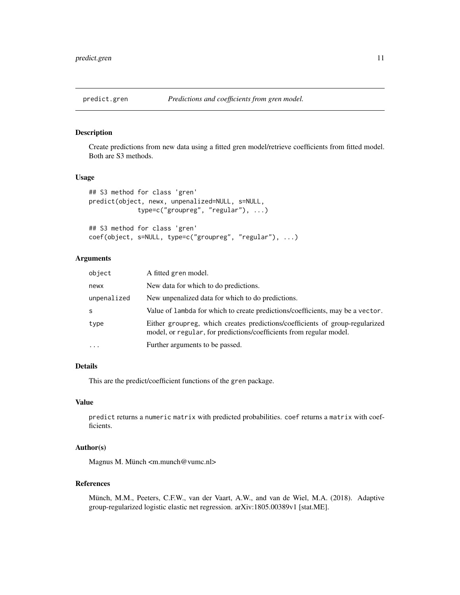<span id="page-10-2"></span><span id="page-10-0"></span>

# <span id="page-10-1"></span>Description

Create predictions from new data using a fitted gren model/retrieve coefficients from fitted model. Both are S3 methods.

# Usage

```
## S3 method for class 'gren'
predict(object, newx, unpenalized=NULL, s=NULL,
             type=c("groupreg", "regular"), ...)
## S3 method for class 'gren'
```

```
coef(object, s=NULL, type=c("groupreg", "regular"), ...)
```
### Arguments

| object      | A fitted gren model.                                                                                                                                |
|-------------|-----------------------------------------------------------------------------------------------------------------------------------------------------|
| newx        | New data for which to do predictions.                                                                                                               |
| unpenalized | New unpenalized data for which to do predictions.                                                                                                   |
| S           | Value of lambda for which to create predictions/coefficients, may be a vector.                                                                      |
| type        | Either group eg, which creates predictions/coefficients of group-regularized<br>model, or regular, for predictions/coefficients from regular model. |
| $\ddotsc$   | Further arguments to be passed.                                                                                                                     |

# Details

This are the predict/coefficient functions of the gren package.

### Value

predict returns a numeric matrix with predicted probabilities. coef returns a matrix with coefficients.

# Author(s)

Magnus M. Münch <m.munch@vumc.nl>

# References

Münch, M.M., Peeters, C.F.W., van der Vaart, A.W., and van de Wiel, M.A. (2018). Adaptive group-regularized logistic elastic net regression. arXiv:1805.00389v1 [stat.ME].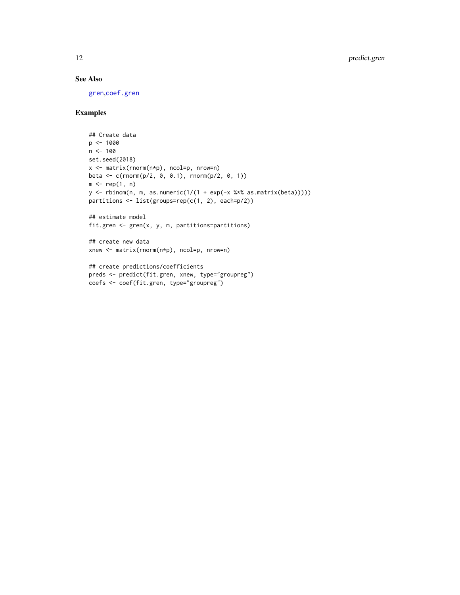# <span id="page-11-0"></span>See Also

[gren](#page-7-1),[coef.gren](#page-10-1)

```
## Create data
p <- 1000
n < -100set.seed(2018)
x <- matrix(rnorm(n*p), ncol=p, nrow=n)
beta <- c(rnorm(p/2, 0, 0.1), rnorm(p/2, 0, 1))
m \leftarrow rep(1, n)y \le rbinom(n, m, as.numeric(1/(1 + \exp(-x \frac{2x}{\pi}) \cdot \sin(\frac{2x}{\pi})))))
partitions <- list(groups=rep(c(1, 2), each=p/2))
## estimate model
fit.gren <- gren(x, y, m, partitions=partitions)
## create new data
xnew <- matrix(rnorm(n*p), ncol=p, nrow=n)
## create predictions/coefficients
preds <- predict(fit.gren, xnew, type="groupreg")
coefs <- coef(fit.gren, type="groupreg")
```